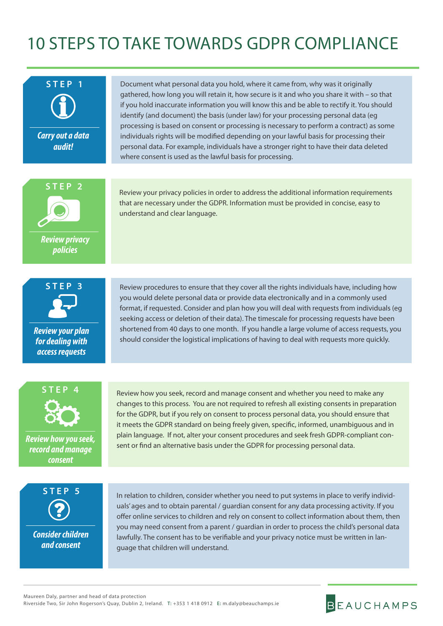## 10 STEPS TO TAKE TOWARDS GDPR COMPLIANCE



*audit!*

Document what personal data you hold, where it came from, why was it originally gathered, how long you will retain it, how secure is it and who you share it with – so that if you hold inaccurate information you will know this and be able to rectify it. You should identify (and document) the basis (under law) for your processing personal data (eg processing is based on consent or processing is necessary to perform a contract) as some individuals rights will be modified depending on your lawful basis for processing their personal data. For example, individuals have a stronger right to have their data deleted where consent is used as the lawful basis for processing.



Review your privacy policies in order to address the additional information requirements that are necessary under the GDPR. Information must be provided in concise, easy to understand and clear language.



*Review your plan for dealing with access requests*

Review procedures to ensure that they cover all the rights individuals have, including how you would delete personal data or provide data electronically and in a commonly used format, if requested. Consider and plan how you will deal with requests from individuals (eg seeking access or deletion of their data). The timescale for processing requests have been shortened from 40 days to one month. If you handle a large volume of access requests, you should consider the logistical implications of having to deal with requests more quickly.



*Review how you seek, record and manage consent*

Review how you seek, record and manage consent and whether you need to make any changes to this process. You are not required to refresh all existing consents in preparation for the GDPR, but if you rely on consent to process personal data, you should ensure that it meets the GDPR standard on being freely given, specific, informed, unambiguous and in plain language. If not, alter your consent procedures and seek fresh GDPR-compliant consent or find an alternative basis under the GDPR for processing personal data.



*Consider children and consent*

In relation to children, consider whether you need to put systems in place to verify individuals' ages and to obtain parental / guardian consent for any data processing activity. If you offer online services to children and rely on consent to collect information about them, then you may need consent from a parent / guardian in order to process the child's personal data lawfully. The consent has to be verifiable and your privacy notice must be written in language that children will understand.